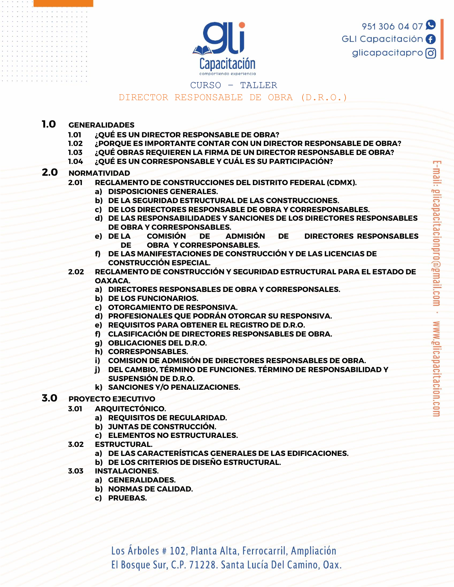



# CURSO – TALLER

### DIRECTOR RESPONSABLE DE OBRA (D.R.O.)

# **1.0 GENERALIDADES**

- **1.01 ¿QUÉ ES UN DIRECTOR RESPONSABLE DE OBRA?**
- **1.02 ¿PORQUE ES IMPORTANTE CONTAR CON UN DIRECTOR RESPONSABLE DE OBRA?**
- **1.03 ¿QUÉ OBRAS REQUIEREN LA FIRMA DE UN DIRECTOR RESPONSABLE DE OBRA?**
- **1.04 ¿QUÉ ES UN CORRESPONSABLE Y CUÁL ES SU PARTICIPACIÓN?**

# **2.0 NORMATIVIDAD**

- **2.01 REGLAMENTO DE CONSTRUCCIONES DEL DISTRITO FEDERAL (CDMX).** 
	- **a) DISPOSICIONES GENERALES.**
		- **b) DE LA SEGURIDAD ESTRUCTURAL DE LAS CONSTRUCCIONES.**
		- **c) DE LOS DIRECTORES RESPONSABLE DE OBRA Y CORRESPONSABLES.**
		- **d) DE LAS RESPONSABILIDADES Y SANCIONES DE LOS DIRECTORES RESPONSABLES DE OBRA Y CORRESPONSABLES.**
		- **e) DE LA COMISIÓN DE ADMISIÓN DE DIRECTORES RESPONSABLES DE OBRA Y CORRESPONSABLES.**
		- **f) DE LAS MANIFESTACIONES DE CONSTRUCCIÓN Y DE LAS LICENCIAS DE CONSTRUCCIÓN ESPECIAL.**
- **2.02 REGLAMENTO DE CONSTRUCCIÓN Y SEGURIDAD ESTRUCTURAL PARA EL ESTADO DE OAXACA.** 
	- **a) DIRECTORES RESPONSABLES DE OBRA Y CORRESPONSALES.**
	- **b) DE LOS FUNCIONARIOS.**
	- **c) OTORGAMIENTO DE RESPONSIVA.**
	- **d) PROFESIONALES QUE PODRÁN OTORGAR SU RESPONSIVA.**
	- **e) REQUISITOS PARA OBTENER EL REGISTRO DE D.R.O.**
	- **f) CLASIFICACIÓN DE DIRECTORES RESPONSABLES DE OBRA.**
	- **g) OBLIGACIONES DEL D.R.O.**
	- **h) CORRESPONSABLES.**
	- **i) COMISION DE ADMISIÓN DE DIRECTORES RESPONSABLES DE OBRA.**
	- **j) DEL CAMBIO, TÉRMINO DE FUNCIONES. TÉRMINO DE RESPONSABILIDAD Y SUSPENSIÓN DE D.R.O.**
	- **k) SANCIONES Y/O PENALIZACIONES.**

### **3.0 PROYECTO EJECUTIVO**

- **3.01 ARQUITECTÓNICO.**
	- **a) REQUISITOS DE REGULARIDAD.**
	- **b) JUNTAS DE CONSTRUCCIÓN.**
	- **c) ELEMENTOS NO ESTRUCTURALES.**
- **3.02 ESTRUCTURAL.**
	- **a) DE LAS CARACTERÍSTICAS GENERALES DE LAS EDIFICACIONES.**
	- **b) DE LOS CRITERIOS DE DISEÑO ESTRUCTURAL.**
- **3.03 INSTALACIONES.**
	- **a) GENERALIDADES.**
	- **b) NORMAS DE CALIDAD.**
	- **c) PRUEBAS.**

Los Árboles # 102, Planta Alta, Ferrocarril, Ampliación El Bosque Sur, C.P. 71228. Santa Lucía Del Camino, Oax.